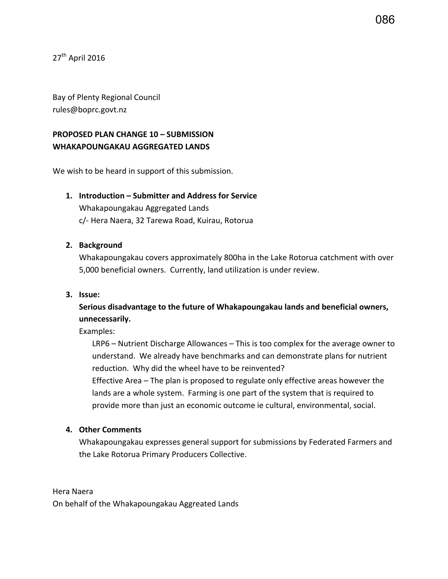27<sup>th</sup> April 2016

Bay of Plenty Regional Council rules@boprc.govt.nz

# **PROPOSED PLAN CHANGE 10 – SUBMISSION WHAKAPOUNGAKAU AGGREGATED LANDS**

We wish to be heard in support of this submission.

## **1. Introduction – Submitter and Address for Service**

Whakapoungakau Aggregated Lands c/- Hera Naera, 32 Tarewa Road, Kuirau, Rotorua

#### **2. Background**

Whakapoungakau covers approximately 800ha in the Lake Rotorua catchment with over 5,000 beneficial owners. Currently, land utilization is under review.

### **3. Issue:**

**Serious disadvantage to the future of Whakapoungakau lands and beneficial owners, unnecessarily.**

Examples:

LRP6 – Nutrient Discharge Allowances – This is too complex for the average owner to understand. We already have benchmarks and can demonstrate plans for nutrient reduction. Why did the wheel have to be reinvented? Effective Area – The plan is proposed to regulate only effective areas however the lands are a whole system. Farming is one part of the system that is required to provide more than just an economic outcome ie cultural, environmental, social.

#### **4. Other Comments**

Whakapoungakau expresses general support for submissions by Federated Farmers and the Lake Rotorua Primary Producers Collective.

Hera Naera On behalf of the Whakapoungakau Aggreated Lands